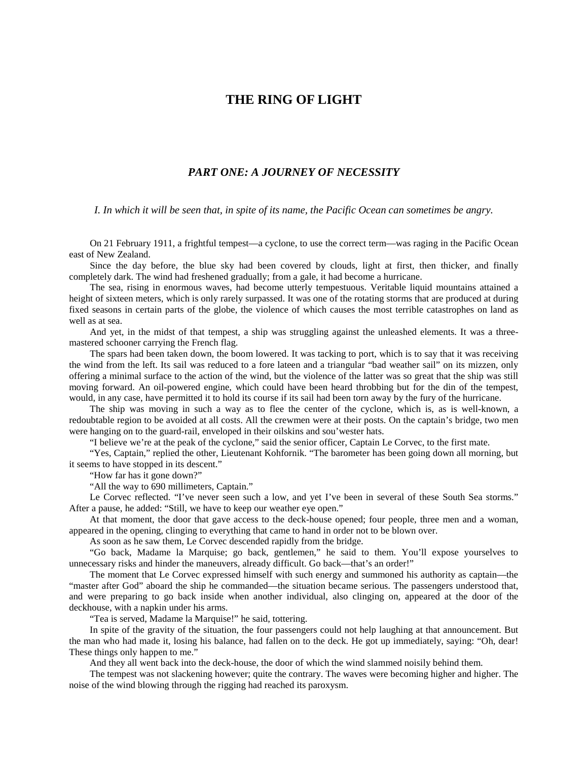## **THE RING OF LIGHT**

## *PART ONE: A JOURNEY OF NECESSITY*

*I. In which it will be seen that, in spite of its name, the Pacific Ocean can sometimes be angry.*

On 21 February 1911, a frightful tempest—a cyclone, to use the correct term—was raging in the Pacific Ocean east of New Zealand.

Since the day before, the blue sky had been covered by clouds, light at first, then thicker, and finally completely dark. The wind had freshened gradually; from a gale, it had become a hurricane.

The sea, rising in enormous waves, had become utterly tempestuous. Veritable liquid mountains attained a height of sixteen meters, which is only rarely surpassed. It was one of the rotating storms that are produced at during fixed seasons in certain parts of the globe, the violence of which causes the most terrible catastrophes on land as well as at sea.

And yet, in the midst of that tempest, a ship was struggling against the unleashed elements. It was a threemastered schooner carrying the French flag.

The spars had been taken down, the boom lowered. It was tacking to port, which is to say that it was receiving the wind from the left. Its sail was reduced to a fore lateen and a triangular "bad weather sail" on its mizzen, only offering a minimal surface to the action of the wind, but the violence of the latter was so great that the ship was still moving forward. An oil-powered engine, which could have been heard throbbing but for the din of the tempest, would, in any case, have permitted it to hold its course if its sail had been torn away by the fury of the hurricane.

The ship was moving in such a way as to flee the center of the cyclone, which is, as is well-known, a redoubtable region to be avoided at all costs. All the crewmen were at their posts. On the captain's bridge, two men were hanging on to the guard-rail, enveloped in their oilskins and sou'wester hats.

"I believe we're at the peak of the cyclone," said the senior officer, Captain Le Corvec, to the first mate.

"Yes, Captain," replied the other, Lieutenant Kohfornik. "The barometer has been going down all morning, but it seems to have stopped in its descent."

"How far has it gone down?"

"All the way to 690 millimeters, Captain."

Le Corvec reflected. "I've never seen such a low, and yet I've been in several of these South Sea storms." After a pause, he added: "Still, we have to keep our weather eye open."

At that moment, the door that gave access to the deck-house opened; four people, three men and a woman, appeared in the opening, clinging to everything that came to hand in order not to be blown over.

As soon as he saw them, Le Corvec descended rapidly from the bridge.

"Go back, Madame la Marquise; go back, gentlemen," he said to them. You'll expose yourselves to unnecessary risks and hinder the maneuvers, already difficult. Go back—that's an order!"

The moment that Le Corvec expressed himself with such energy and summoned his authority as captain—the "master after God" aboard the ship he commanded—the situation became serious. The passengers understood that, and were preparing to go back inside when another individual, also clinging on, appeared at the door of the deckhouse, with a napkin under his arms.

"Tea is served, Madame la Marquise!" he said, tottering.

In spite of the gravity of the situation, the four passengers could not help laughing at that announcement. But the man who had made it, losing his balance, had fallen on to the deck. He got up immediately, saying: "Oh, dear! These things only happen to me."

And they all went back into the deck-house, the door of which the wind slammed noisily behind them.

The tempest was not slackening however; quite the contrary. The waves were becoming higher and higher. The noise of the wind blowing through the rigging had reached its paroxysm.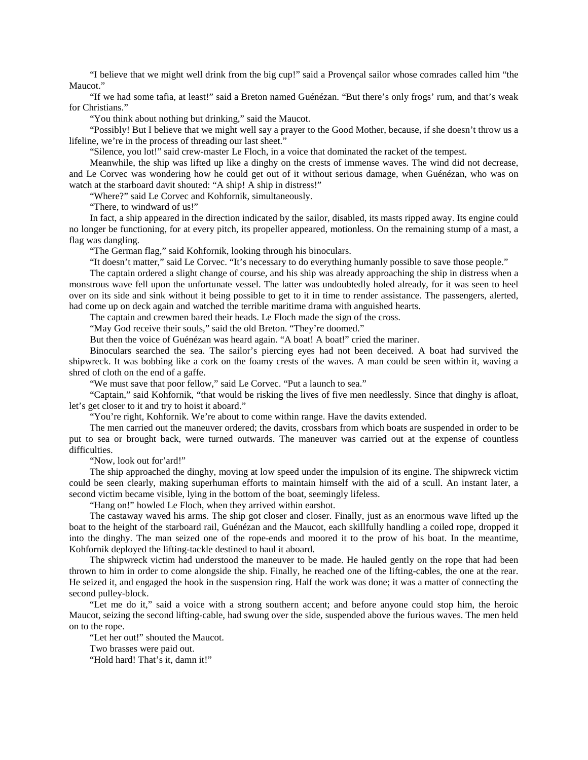"I believe that we might well drink from the big cup!" said a Provençal sailor whose comrades called him "the Maucot."

"If we had some tafia, at least!" said a Breton named Guénézan. "But there's only frogs' rum, and that's weak for Christians."

"You think about nothing but drinking," said the Maucot.

"Possibly! But I believe that we might well say a prayer to the Good Mother, because, if she doesn't throw us a lifeline, we're in the process of threading our last sheet."

"Silence, you lot!" said crew-master Le Floch, in a voice that dominated the racket of the tempest.

Meanwhile, the ship was lifted up like a dinghy on the crests of immense waves. The wind did not decrease, and Le Corvec was wondering how he could get out of it without serious damage, when Guénézan, who was on watch at the starboard davit shouted: "A ship! A ship in distress!"

"Where?" said Le Corvec and Kohfornik, simultaneously.

"There, to windward of us!"

In fact, a ship appeared in the direction indicated by the sailor, disabled, its masts ripped away. Its engine could no longer be functioning, for at every pitch, its propeller appeared, motionless. On the remaining stump of a mast, a flag was dangling.

"The German flag," said Kohfornik, looking through his binoculars.

"It doesn't matter," said Le Corvec. "It's necessary to do everything humanly possible to save those people."

The captain ordered a slight change of course, and his ship was already approaching the ship in distress when a monstrous wave fell upon the unfortunate vessel. The latter was undoubtedly holed already, for it was seen to heel over on its side and sink without it being possible to get to it in time to render assistance. The passengers, alerted, had come up on deck again and watched the terrible maritime drama with anguished hearts.

The captain and crewmen bared their heads. Le Floch made the sign of the cross.

"May God receive their souls," said the old Breton. "They're doomed."

But then the voice of Guénézan was heard again. "A boat! A boat!" cried the mariner.

Binoculars searched the sea. The sailor's piercing eyes had not been deceived. A boat had survived the shipwreck. It was bobbing like a cork on the foamy crests of the waves. A man could be seen within it, waving a shred of cloth on the end of a gaffe.

"We must save that poor fellow," said Le Corvec. "Put a launch to sea."

"Captain," said Kohfornik, "that would be risking the lives of five men needlessly. Since that dinghy is afloat, let's get closer to it and try to hoist it aboard."

"You're right, Kohfornik. We're about to come within range. Have the davits extended.

The men carried out the maneuver ordered; the davits, crossbars from which boats are suspended in order to be put to sea or brought back, were turned outwards. The maneuver was carried out at the expense of countless difficulties.

"Now, look out for'ard!"

The ship approached the dinghy, moving at low speed under the impulsion of its engine. The shipwreck victim could be seen clearly, making superhuman efforts to maintain himself with the aid of a scull. An instant later, a second victim became visible, lying in the bottom of the boat, seemingly lifeless.

"Hang on!" howled Le Floch, when they arrived within earshot.

The castaway waved his arms. The ship got closer and closer. Finally, just as an enormous wave lifted up the boat to the height of the starboard rail, Guénézan and the Maucot, each skillfully handling a coiled rope, dropped it into the dinghy. The man seized one of the rope-ends and moored it to the prow of his boat. In the meantime, Kohfornik deployed the lifting-tackle destined to haul it aboard.

The shipwreck victim had understood the maneuver to be made. He hauled gently on the rope that had been thrown to him in order to come alongside the ship. Finally, he reached one of the lifting-cables, the one at the rear. He seized it, and engaged the hook in the suspension ring. Half the work was done; it was a matter of connecting the second pulley-block.

"Let me do it," said a voice with a strong southern accent; and before anyone could stop him, the heroic Maucot, seizing the second lifting-cable, had swung over the side, suspended above the furious waves. The men held on to the rope.

"Let her out!" shouted the Maucot.

Two brasses were paid out.

"Hold hard! That's it, damn it!"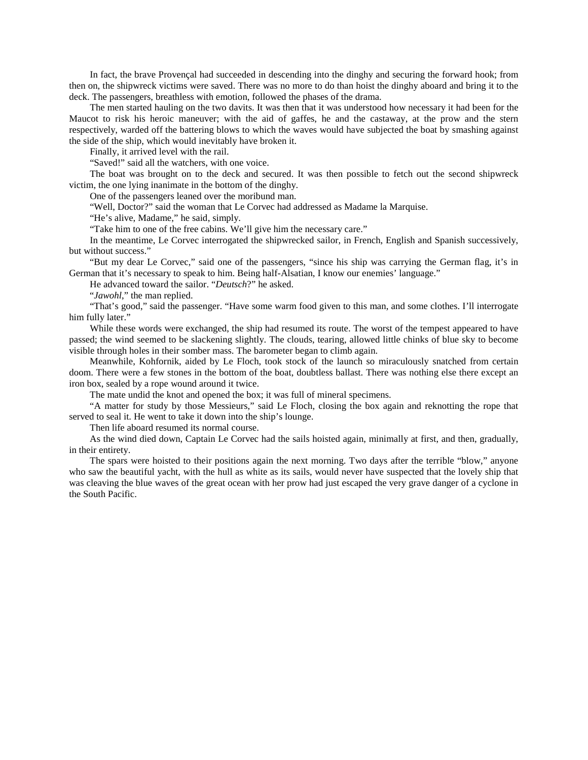In fact, the brave Provençal had succeeded in descending into the dinghy and securing the forward hook; from then on, the shipwreck victims were saved. There was no more to do than hoist the dinghy aboard and bring it to the deck. The passengers, breathless with emotion, followed the phases of the drama.

The men started hauling on the two davits. It was then that it was understood how necessary it had been for the Maucot to risk his heroic maneuver; with the aid of gaffes, he and the castaway, at the prow and the stern respectively, warded off the battering blows to which the waves would have subjected the boat by smashing against the side of the ship, which would inevitably have broken it.

Finally, it arrived level with the rail.

"Saved!" said all the watchers, with one voice.

The boat was brought on to the deck and secured. It was then possible to fetch out the second shipwreck victim, the one lying inanimate in the bottom of the dinghy.

One of the passengers leaned over the moribund man.

"Well, Doctor?" said the woman that Le Corvec had addressed as Madame la Marquise.

"He's alive, Madame," he said, simply.

"Take him to one of the free cabins. We'll give him the necessary care."

In the meantime, Le Corvec interrogated the shipwrecked sailor, in French, English and Spanish successively, but without success."

"But my dear Le Corvec," said one of the passengers, "since his ship was carrying the German flag, it's in German that it's necessary to speak to him. Being half-Alsatian, I know our enemies' language."

He advanced toward the sailor. "*Deutsch*?" he asked.

"*Jawohl*," the man replied.

"That's good," said the passenger. "Have some warm food given to this man, and some clothes. I'll interrogate him fully later."

While these words were exchanged, the ship had resumed its route. The worst of the tempest appeared to have passed; the wind seemed to be slackening slightly. The clouds, tearing, allowed little chinks of blue sky to become visible through holes in their somber mass. The barometer began to climb again.

Meanwhile, Kohfornik, aided by Le Floch, took stock of the launch so miraculously snatched from certain doom. There were a few stones in the bottom of the boat, doubtless ballast. There was nothing else there except an iron box, sealed by a rope wound around it twice.

The mate undid the knot and opened the box; it was full of mineral specimens.

"A matter for study by those Messieurs," said Le Floch, closing the box again and reknotting the rope that served to seal it. He went to take it down into the ship's lounge.

Then life aboard resumed its normal course.

As the wind died down, Captain Le Corvec had the sails hoisted again, minimally at first, and then, gradually, in their entirety.

The spars were hoisted to their positions again the next morning. Two days after the terrible "blow," anyone who saw the beautiful yacht, with the hull as white as its sails, would never have suspected that the lovely ship that was cleaving the blue waves of the great ocean with her prow had just escaped the very grave danger of a cyclone in the South Pacific.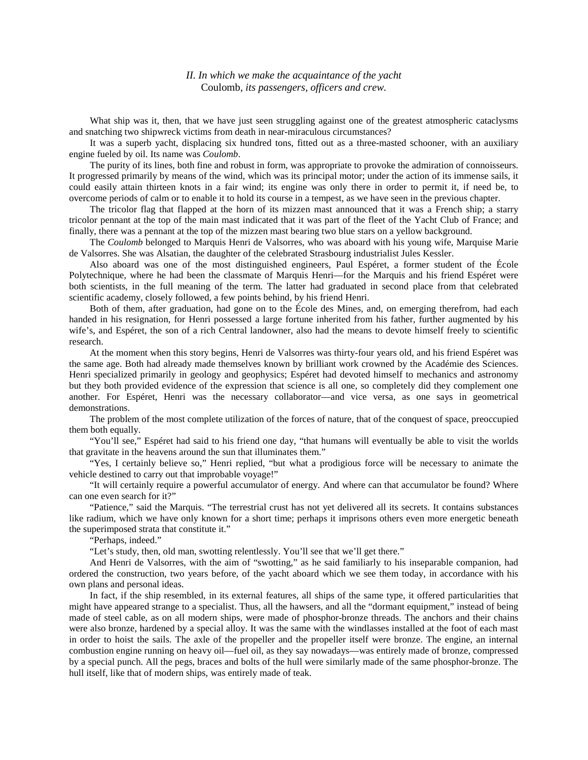## *II. In which we make the acquaintance of the yacht*  Coulomb*, its passengers, officers and crew.*

What ship was it, then, that we have just seen struggling against one of the greatest atmospheric cataclysms and snatching two shipwreck victims from death in near-miraculous circumstances?

It was a superb yacht, displacing six hundred tons, fitted out as a three-masted schooner, with an auxiliary engine fueled by oil. Its name was *Coulomb*.

The purity of its lines, both fine and robust in form, was appropriate to provoke the admiration of connoisseurs. It progressed primarily by means of the wind, which was its principal motor; under the action of its immense sails, it could easily attain thirteen knots in a fair wind; its engine was only there in order to permit it, if need be, to overcome periods of calm or to enable it to hold its course in a tempest, as we have seen in the previous chapter.

The tricolor flag that flapped at the horn of its mizzen mast announced that it was a French ship; a starry tricolor pennant at the top of the main mast indicated that it was part of the fleet of the Yacht Club of France; and finally, there was a pennant at the top of the mizzen mast bearing two blue stars on a yellow background.

The *Coulomb* belonged to Marquis Henri de Valsorres, who was aboard with his young wife, Marquise Marie de Valsorres. She was Alsatian, the daughter of the celebrated Strasbourg industrialist Jules Kessler.

Also aboard was one of the most distinguished engineers, Paul Espéret, a former student of the École Polytechnique, where he had been the classmate of Marquis Henri—for the Marquis and his friend Espéret were both scientists, in the full meaning of the term. The latter had graduated in second place from that celebrated scientific academy, closely followed, a few points behind, by his friend Henri.

Both of them, after graduation, had gone on to the École des Mines, and, on emerging therefrom, had each handed in his resignation, for Henri possessed a large fortune inherited from his father, further augmented by his wife's, and Espéret, the son of a rich Central landowner, also had the means to devote himself freely to scientific research.

At the moment when this story begins, Henri de Valsorres was thirty-four years old, and his friend Espéret was the same age. Both had already made themselves known by brilliant work crowned by the Académie des Sciences. Henri specialized primarily in geology and geophysics; Espéret had devoted himself to mechanics and astronomy but they both provided evidence of the expression that science is all one, so completely did they complement one another. For Espéret, Henri was the necessary collaborator—and vice versa, as one says in geometrical demonstrations.

The problem of the most complete utilization of the forces of nature, that of the conquest of space, preoccupied them both equally.

"You'll see," Espéret had said to his friend one day, "that humans will eventually be able to visit the worlds that gravitate in the heavens around the sun that illuminates them."

"Yes, I certainly believe so," Henri replied, "but what a prodigious force will be necessary to animate the vehicle destined to carry out that improbable voyage!"

"It will certainly require a powerful accumulator of energy. And where can that accumulator be found? Where can one even search for it?"

"Patience," said the Marquis. "The terrestrial crust has not yet delivered all its secrets. It contains substances like radium, which we have only known for a short time; perhaps it imprisons others even more energetic beneath the superimposed strata that constitute it."

"Perhaps, indeed."

"Let's study, then, old man, swotting relentlessly. You'll see that we'll get there."

And Henri de Valsorres, with the aim of "swotting," as he said familiarly to his inseparable companion, had ordered the construction, two years before, of the yacht aboard which we see them today, in accordance with his own plans and personal ideas.

In fact, if the ship resembled, in its external features, all ships of the same type, it offered particularities that might have appeared strange to a specialist. Thus, all the hawsers, and all the "dormant equipment," instead of being made of steel cable, as on all modern ships, were made of phosphor-bronze threads. The anchors and their chains were also bronze, hardened by a special alloy. It was the same with the windlasses installed at the foot of each mast in order to hoist the sails. The axle of the propeller and the propeller itself were bronze. The engine, an internal combustion engine running on heavy oil—fuel oil, as they say nowadays—was entirely made of bronze, compressed by a special punch. All the pegs, braces and bolts of the hull were similarly made of the same phosphor-bronze. The hull itself, like that of modern ships, was entirely made of teak.